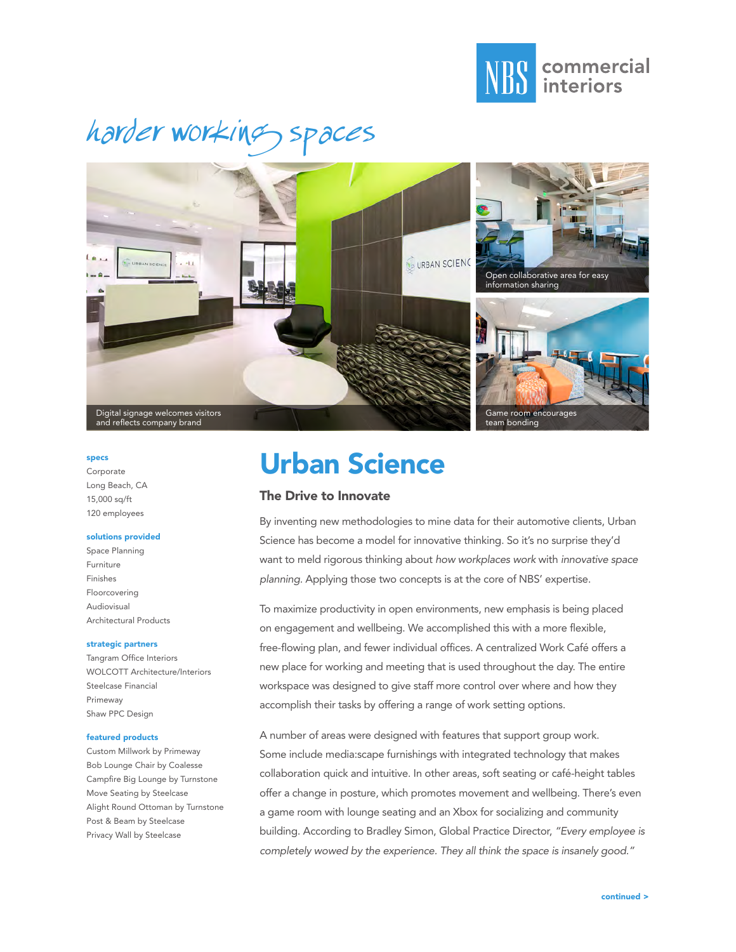

# harder working spaces



#### specs

Corporate Long Beach, CA 15,000 sq/ft 120 employees

#### solutions provided

Space Planning Furniture Finishes Floorcovering Audiovisual Architectural Products

#### strategic partners

Tangram Office Interiors WOLCOTT Architecture/Interiors Steelcase Financial Primeway Shaw PPC Design

#### featured products

Custom Millwork by Primeway Bob Lounge Chair by Coalesse Campfire Big Lounge by Turnstone Move Seating by Steelcase Alight Round Ottoman by Turnstone Post & Beam by Steelcase Privacy Wall by Steelcase

### Urban Science

### The Drive to Innovate

By inventing new methodologies to mine data for their automotive clients, Urban Science has become a model for innovative thinking. So it's no surprise they'd want to meld rigorous thinking about *how workplaces work* with *innovative space planning.* Applying those two concepts is at the core of NBS' expertise.

To maximize productivity in open environments, new emphasis is being placed on engagement and wellbeing. We accomplished this with a more flexible, free-flowing plan, and fewer individual offices. A centralized Work Café offers a new place for working and meeting that is used throughout the day. The entire workspace was designed to give staff more control over where and how they accomplish their tasks by offering a range of work setting options.

A number of areas were designed with features that support group work. Some include media:scape furnishings with integrated technology that makes collaboration quick and intuitive. In other areas, soft seating or café-height tables offer a change in posture, which promotes movement and wellbeing. There's even a game room with lounge seating and an Xbox for socializing and community building. According to Bradley Simon, Global Practice Director, *"Every employee is completely wowed by the experience. They all think the space is insanely good."*